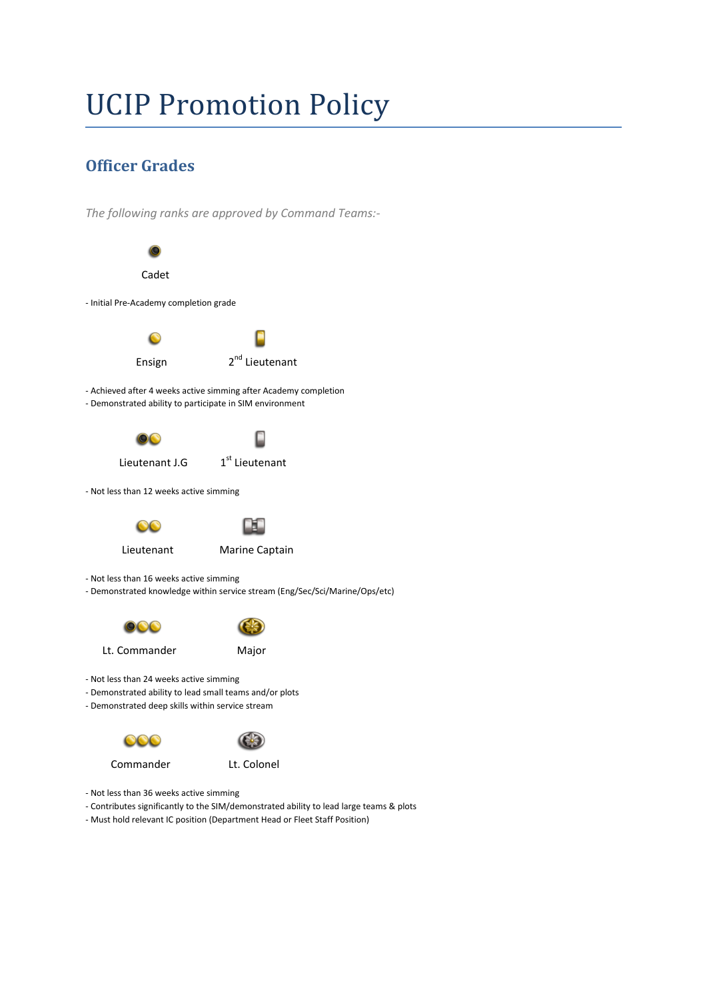# UCIP Promotion Policy

# **Officer Grades**

*The following ranks are approved by Command Teams:-*



- Not less than 36 weeks active simming
- Contributes significantly to the SIM/demonstrated ability to lead large teams & plots
- Must hold relevant IC position (Department Head or Fleet Staff Position)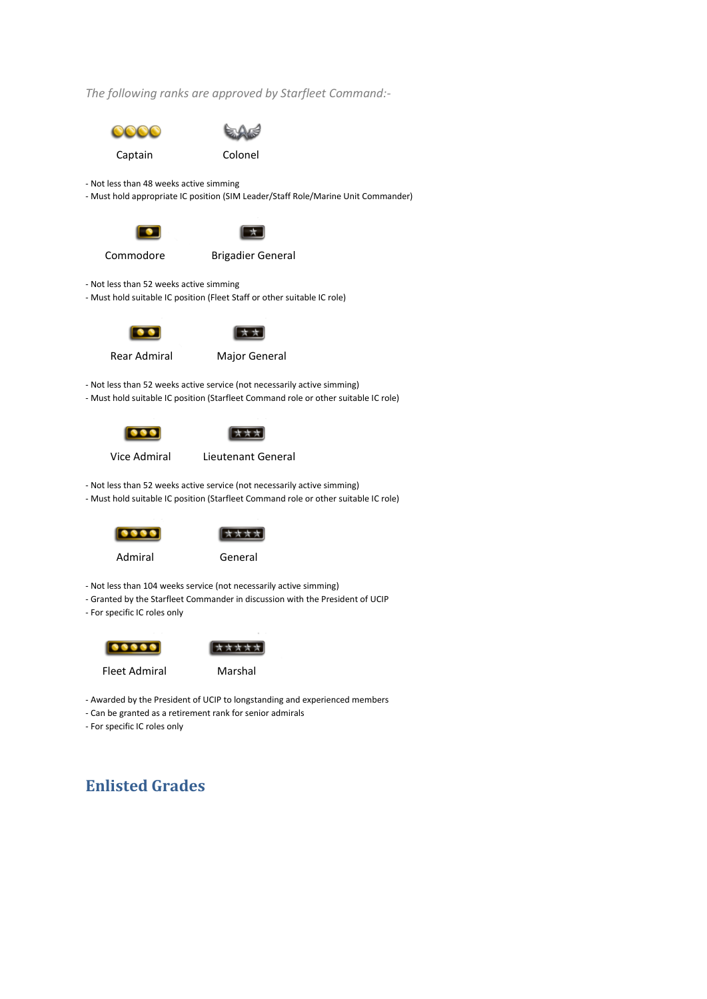*The following ranks are approved by Starfleet Command:-*





- Awarded by the President of UCIP to longstanding and experienced members

- Can be granted as a retirement rank for senior admirals

- For specific IC roles only

# **Enlisted Grades**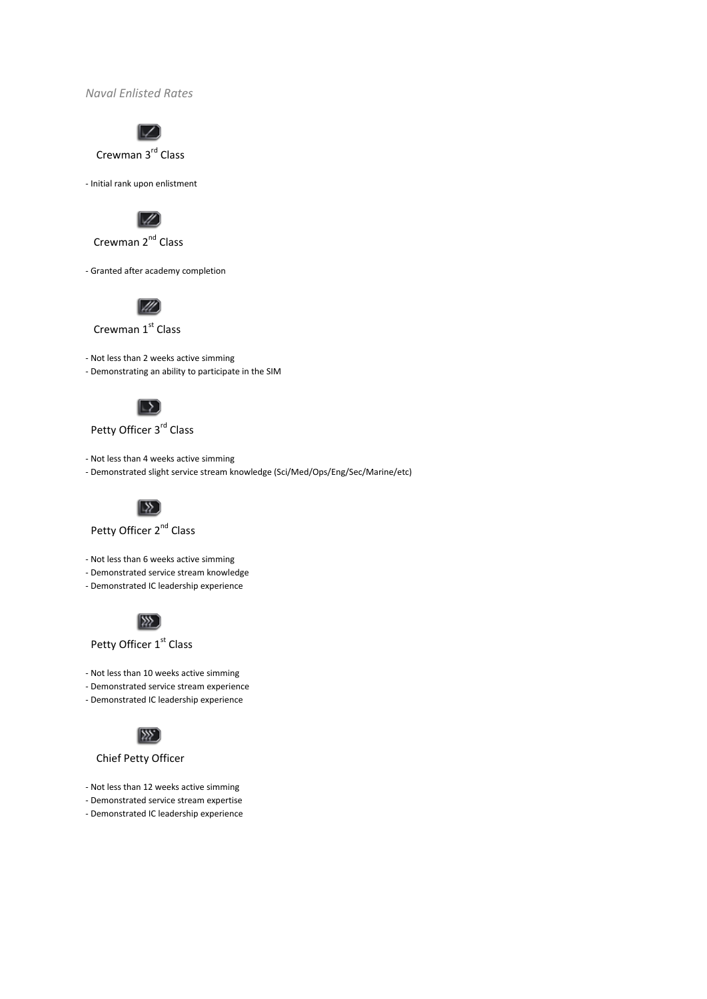*Naval Enlisted Rates*



Crewman 3rd Class

- Initial rank upon enlistment



Crewman 2<sup>nd</sup> Class

- Granted after academy completion



Crewman 1st Class

- Not less than 2 weeks active simming

- Demonstrating an ability to participate in the SIM



## Petty Officer 3<sup>rd</sup> Class

- Not less than 4 weeks active simming

- Demonstrated slight service stream knowledge (Sci/Med/Ops/Eng/Sec/Marine/etc)



Petty Officer 2<sup>nd</sup> Class

- Not less than 6 weeks active simming
- Demonstrated service stream knowledge
- Demonstrated IC leadership experience



Petty Officer 1st Class

- Not less than 10 weeks active simming
- Demonstrated service stream experience
- Demonstrated IC leadership experience



Chief Petty Officer

- Not less than 12 weeks active simming
- Demonstrated service stream expertise
- Demonstrated IC leadership experience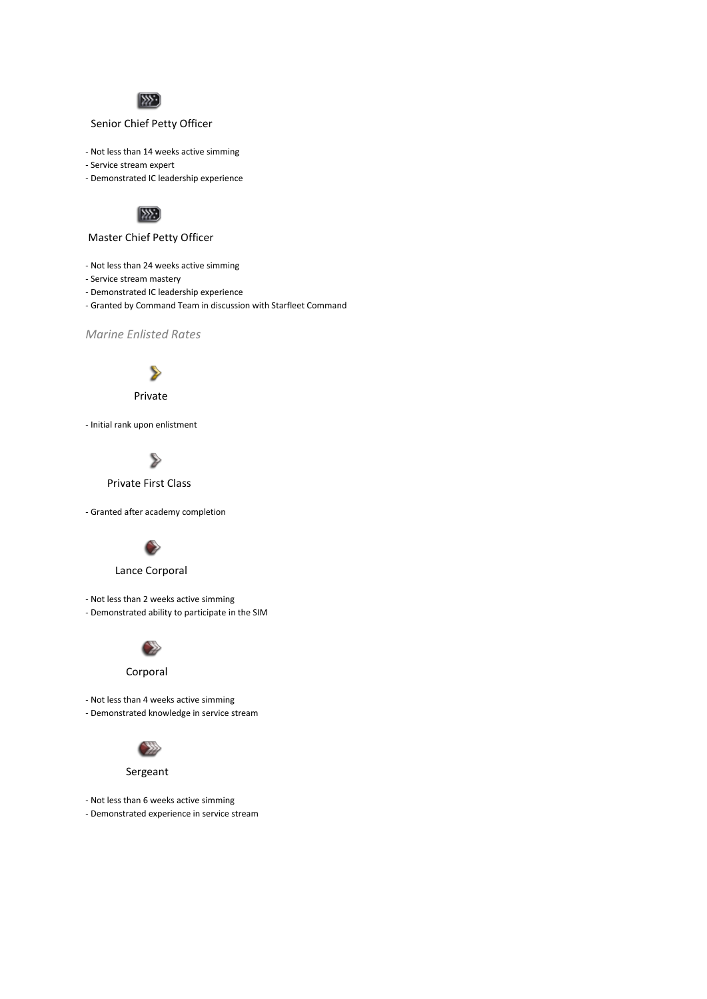

#### Senior Chief Petty Officer

- Not less than 14 weeks active simming
- Service stream expert
- Demonstrated IC leadership experience



#### Master Chief Petty Officer

- Not less than 24 weeks active simming
- Service stream mastery
- Demonstrated IC leadership experience
- Granted by Command Team in discussion with Starfleet Command

*Marine Enlisted Rates*



#### Private

- Initial rank upon enlistment



#### Private First Class

- Granted after academy completion



#### Lance Corporal

- Not less than 2 weeks active simming

- Demonstrated ability to participate in the SIM



#### Corporal

- Not less than 4 weeks active simming

- Demonstrated knowledge in service stream



#### Sergeant

- Not less than 6 weeks active simming
- Demonstrated experience in service stream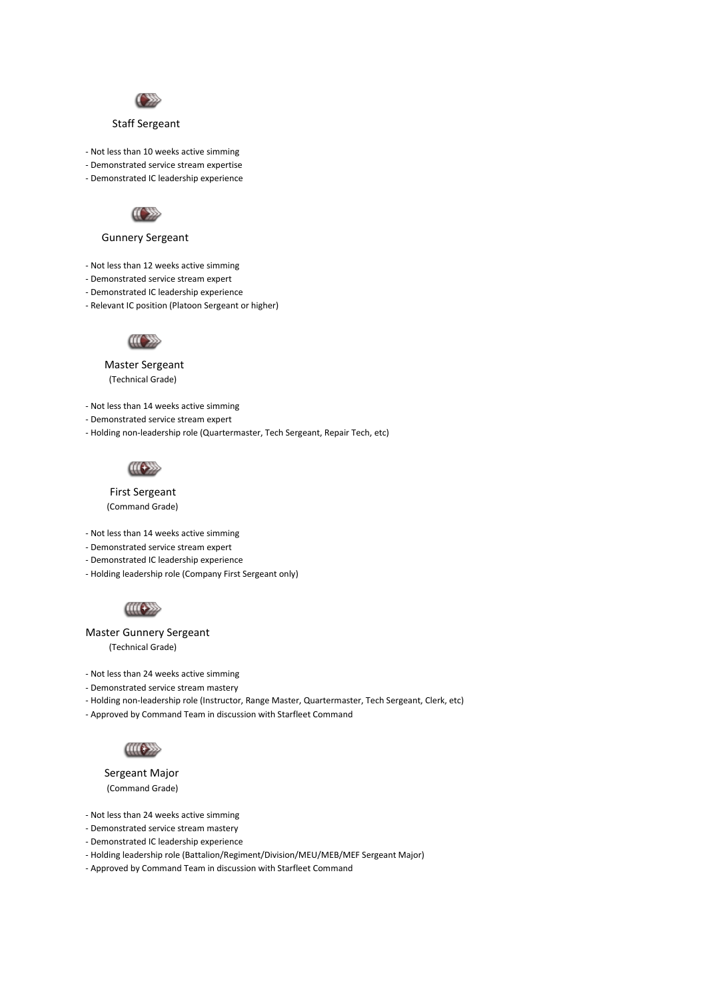

#### Staff Sergeant

- Not less than 10 weeks active simming
- Demonstrated service stream expertise
- Demonstrated IC leadership experience



#### Gunnery Sergeant

- Not less than 12 weeks active simming
- Demonstrated service stream expert
- Demonstrated IC leadership experience
- Relevant IC position (Platoon Sergeant or higher)



### Master Sergeant

(Technical Grade)

- Not less than 14 weeks active simming

- Demonstrated service stream expert
- Holding non-leadership role (Quartermaster, Tech Sergeant, Repair Tech, etc)



 First Sergeant (Command Grade)

- Not less than 14 weeks active simming

- Demonstrated service stream expert
- Demonstrated IC leadership experience
- Holding leadership role (Company First Sergeant only)



Master Gunnery Sergeant

(Technical Grade)

- Not less than 24 weeks active simming

- Demonstrated service stream mastery
- Holding non-leadership role (Instructor, Range Master, Quartermaster, Tech Sergeant, Clerk, etc)
- Approved by Command Team in discussion with Starfleet Command



 Sergeant Major (Command Grade)

- Not less than 24 weeks active simming
- Demonstrated service stream mastery
- Demonstrated IC leadership experience
- Holding leadership role (Battalion/Regiment/Division/MEU/MEB/MEF Sergeant Major)
- Approved by Command Team in discussion with Starfleet Command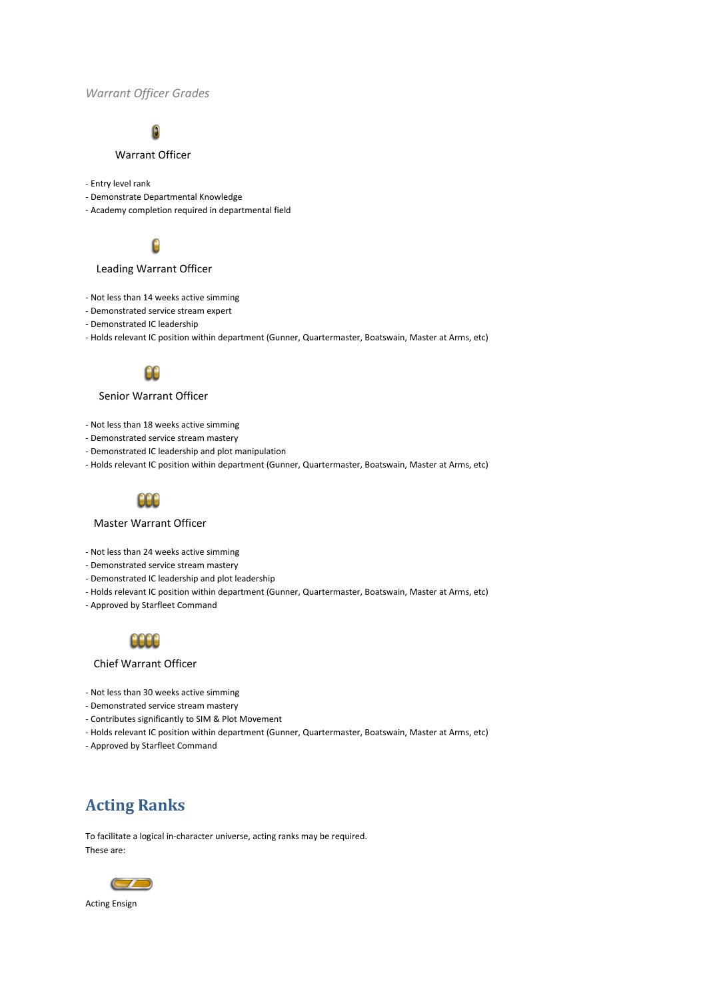#### *Warrant Officer Grades*

# ß

#### Warrant Officer

- Entry level rank
- Demonstrate Departmental Knowledge
- Academy completion required in departmental field



#### Leading Warrant Officer

- Not less than 14 weeks active simming
- Demonstrated service stream expert
- Demonstrated IC leadership
- Holds relevant IC position within department (Gunner, Quartermaster, Boatswain, Master at Arms, etc)



#### Senior Warrant Officer

- Not less than 18 weeks active simming
- Demonstrated service stream mastery
- Demonstrated IC leadership and plot manipulation
- Holds relevant IC position within department (Gunner, Quartermaster, Boatswain, Master at Arms, etc)



#### Master Warrant Officer

- Not less than 24 weeks active simming
- Demonstrated service stream mastery
- Demonstrated IC leadership and plot leadership
- Holds relevant IC position within department (Gunner, Quartermaster, Boatswain, Master at Arms, etc)
- Approved by Starfleet Command



#### Chief Warrant Officer

- Not less than 30 weeks active simming
- Demonstrated service stream mastery
- Contributes significantly to SIM & Plot Movement
- Holds relevant IC position within department (Gunner, Quartermaster, Boatswain, Master at Arms, etc)
- Approved by Starfleet Command

## **Acting Ranks**

To facilitate a logical in-character universe, acting ranks may be required. These are:



Acting Ensign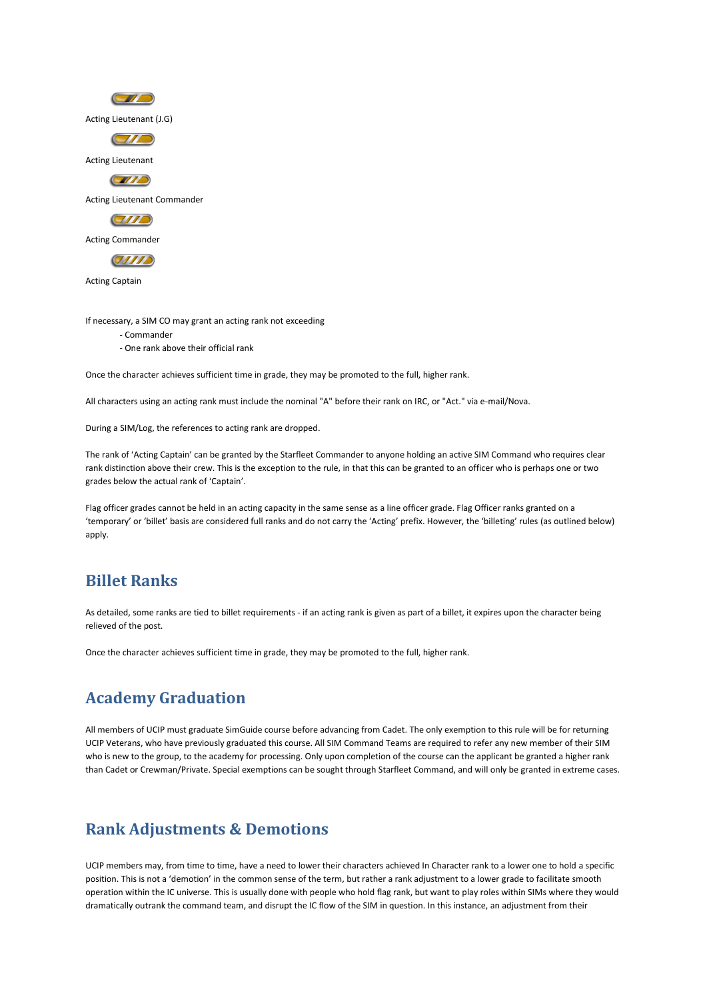

If necessary, a SIM CO may grant an acting rank not exceeding

- Commander
- One rank above their official rank

Once the character achieves sufficient time in grade, they may be promoted to the full, higher rank.

All characters using an acting rank must include the nominal "A" before their rank on IRC, or "Act." via e-mail/Nova.

During a SIM/Log, the references to acting rank are dropped.

The rank of 'Acting Captain' can be granted by the Starfleet Commander to anyone holding an active SIM Command who requires clear rank distinction above their crew. This is the exception to the rule, in that this can be granted to an officer who is perhaps one or two grades below the actual rank of 'Captain'.

Flag officer grades cannot be held in an acting capacity in the same sense as a line officer grade. Flag Officer ranks granted on a 'temporary' or 'billet' basis are considered full ranks and do not carry the 'Acting' prefix. However, the 'billeting' rules (as outlined below) apply.

## **Billet Ranks**

As detailed, some ranks are tied to billet requirements - if an acting rank is given as part of a billet, it expires upon the character being relieved of the post.

Once the character achieves sufficient time in grade, they may be promoted to the full, higher rank.

## **Academy Graduation**

All members of UCIP must graduate SimGuide course before advancing from Cadet. The only exemption to this rule will be for returning UCIP Veterans, who have previously graduated this course. All SIM Command Teams are required to refer any new member of their SIM who is new to the group, to the academy for processing. Only upon completion of the course can the applicant be granted a higher rank than Cadet or Crewman/Private. Special exemptions can be sought through Starfleet Command, and will only be granted in extreme cases.

## **Rank Adjustments & Demotions**

UCIP members may, from time to time, have a need to lower their characters achieved In Character rank to a lower one to hold a specific position. This is not a 'demotion' in the common sense of the term, but rather a rank adjustment to a lower grade to facilitate smooth operation within the IC universe. This is usually done with people who hold flag rank, but want to play roles within SIMs where they would dramatically outrank the command team, and disrupt the IC flow of the SIM in question. In this instance, an adjustment from their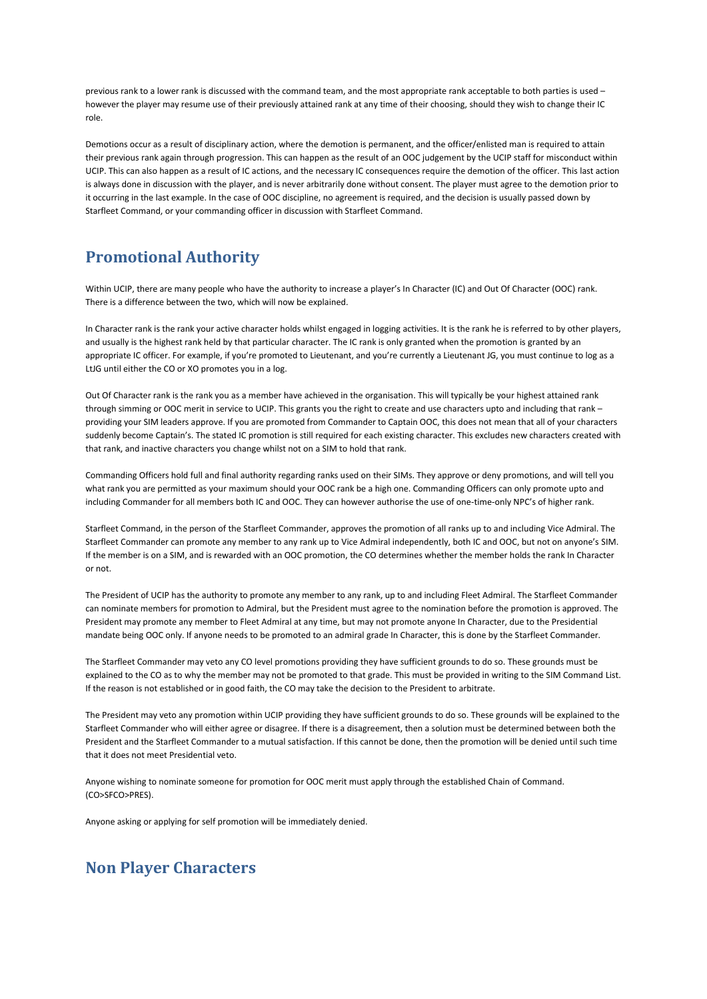previous rank to a lower rank is discussed with the command team, and the most appropriate rank acceptable to both parties is used – however the player may resume use of their previously attained rank at any time of their choosing, should they wish to change their IC role.

Demotions occur as a result of disciplinary action, where the demotion is permanent, and the officer/enlisted man is required to attain their previous rank again through progression. This can happen as the result of an OOC judgement by the UCIP staff for misconduct within UCIP. This can also happen as a result of IC actions, and the necessary IC consequences require the demotion of the officer. This last action is always done in discussion with the player, and is never arbitrarily done without consent. The player must agree to the demotion prior to it occurring in the last example. In the case of OOC discipline, no agreement is required, and the decision is usually passed down by Starfleet Command, or your commanding officer in discussion with Starfleet Command.

## **Promotional Authority**

Within UCIP, there are many people who have the authority to increase a player's In Character (IC) and Out Of Character (OOC) rank. There is a difference between the two, which will now be explained.

In Character rank is the rank your active character holds whilst engaged in logging activities. It is the rank he is referred to by other players, and usually is the highest rank held by that particular character. The IC rank is only granted when the promotion is granted by an appropriate IC officer. For example, if you're promoted to Lieutenant, and you're currently a Lieutenant JG, you must continue to log as a LtJG until either the CO or XO promotes you in a log.

Out Of Character rank is the rank you as a member have achieved in the organisation. This will typically be your highest attained rank through simming or OOC merit in service to UCIP. This grants you the right to create and use characters upto and including that rank – providing your SIM leaders approve. If you are promoted from Commander to Captain OOC, this does not mean that all of your characters suddenly become Captain's. The stated IC promotion is still required for each existing character. This excludes new characters created with that rank, and inactive characters you change whilst not on a SIM to hold that rank.

Commanding Officers hold full and final authority regarding ranks used on their SIMs. They approve or deny promotions, and will tell you what rank you are permitted as your maximum should your OOC rank be a high one. Commanding Officers can only promote upto and including Commander for all members both IC and OOC. They can however authorise the use of one-time-only NPC's of higher rank.

Starfleet Command, in the person of the Starfleet Commander, approves the promotion of all ranks up to and including Vice Admiral. The Starfleet Commander can promote any member to any rank up to Vice Admiral independently, both IC and OOC, but not on anyone's SIM. If the member is on a SIM, and is rewarded with an OOC promotion, the CO determines whether the member holds the rank In Character or not.

The President of UCIP has the authority to promote any member to any rank, up to and including Fleet Admiral. The Starfleet Commander can nominate members for promotion to Admiral, but the President must agree to the nomination before the promotion is approved. The President may promote any member to Fleet Admiral at any time, but may not promote anyone In Character, due to the Presidential mandate being OOC only. If anyone needs to be promoted to an admiral grade In Character, this is done by the Starfleet Commander.

The Starfleet Commander may veto any CO level promotions providing they have sufficient grounds to do so. These grounds must be explained to the CO as to why the member may not be promoted to that grade. This must be provided in writing to the SIM Command List. If the reason is not established or in good faith, the CO may take the decision to the President to arbitrate.

The President may veto any promotion within UCIP providing they have sufficient grounds to do so. These grounds will be explained to the Starfleet Commander who will either agree or disagree. If there is a disagreement, then a solution must be determined between both the President and the Starfleet Commander to a mutual satisfaction. If this cannot be done, then the promotion will be denied until such time that it does not meet Presidential veto.

Anyone wishing to nominate someone for promotion for OOC merit must apply through the established Chain of Command. (CO>SFCO>PRES).

Anyone asking or applying for self promotion will be immediately denied.

# **Non Player Characters**